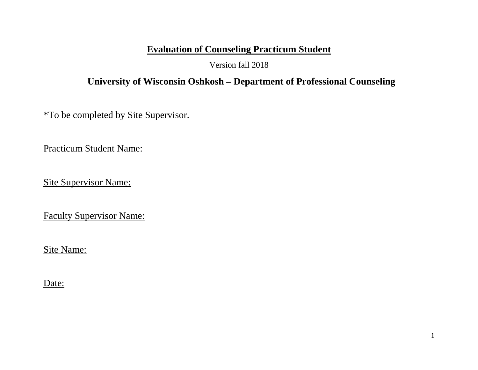# **Evaluation of Counseling Practicum Student**

Version fall 2018

## **University of Wisconsin Oshkosh – Department of Professional Counseling**

\*To be completed by Site Supervisor.

Practicum Student Name:

Site Supervisor Name:

Faculty Supervisor Name:

Site Name:

Date: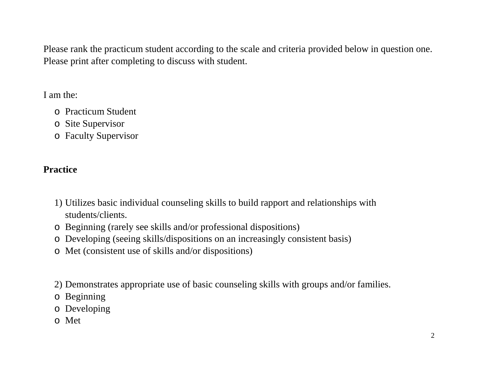Please rank the practicum student according to the scale and criteria provided below in question one. Please print after completing to discuss with student.

I am the:

- o Practicum Student
- o Site Supervisor
- o Faculty Supervisor

# **Practice**

- 1) Utilizes basic individual counseling skills to build rapport and relationships with students/clients.
- o Beginning (rarely see skills and/or professional dispositions)
- o Developing (seeing skills/dispositions on an increasingly consistent basis)
- o Met (consistent use of skills and/or dispositions)
- 2) Demonstrates appropriate use of basic counseling skills with groups and/or families.
- o Beginning
- o Developing
- o Met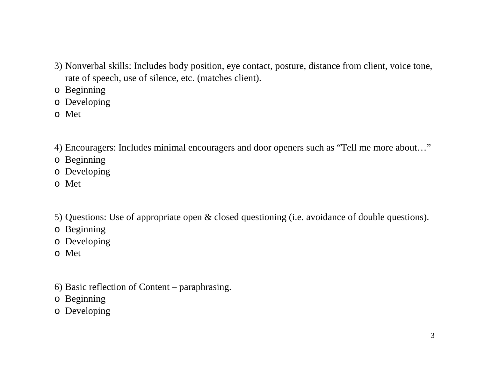- 3) Nonverbal skills: Includes body position, eye contact, posture, distance from client, voice tone, rate of speech, use of silence, etc. (matches client).
- o Beginning
- o Developing
- o Met
- 4) Encouragers: Includes minimal encouragers and door openers such as "Tell me more about…"
- o Beginning
- o Developing
- o Met
- 5) Questions: Use of appropriate open & closed questioning (i.e. avoidance of double questions).
- o Beginning
- o Developing
- o Met
- 6) Basic reflection of Content paraphrasing.
- o Beginning
- o Developing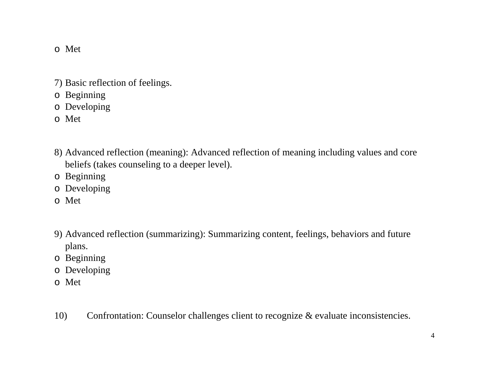#### o Met

- 7) Basic reflection of feelings.
- o Beginning
- o Developing
- o Met
- 8) Advanced reflection (meaning): Advanced reflection of meaning including values and core beliefs (takes counseling to a deeper level).
- o Beginning
- o Developing
- o Met
- 9) Advanced reflection (summarizing): Summarizing content, feelings, behaviors and future plans.
- o Beginning
- o Developing
- o Met
- 10) Confrontation: Counselor challenges client to recognize & evaluate inconsistencies.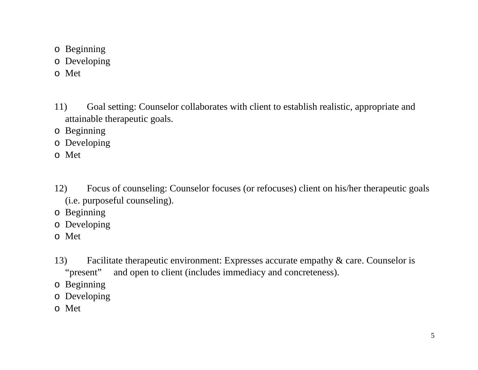- o Beginning
- o Developing
- o Met
- 11) Goal setting: Counselor collaborates with client to establish realistic, appropriate and attainable therapeutic goals.
- o Beginning
- o Developing
- o Met
- 12) Focus of counseling: Counselor focuses (or refocuses) client on his/her therapeutic goals (i.e. purposeful counseling).
- o Beginning
- o Developing
- o Met
- 13) Facilitate therapeutic environment: Expresses accurate empathy & care. Counselor is "present" and open to client (includes immediacy and concreteness).
- o Beginning
- o Developing
- o Met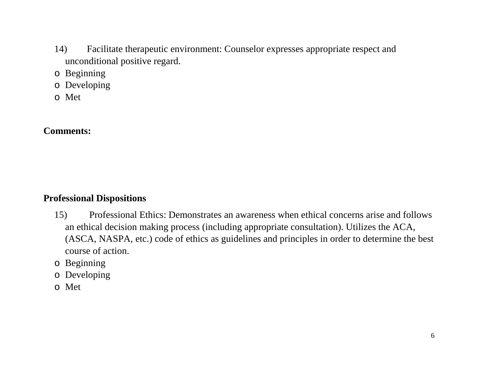- 14) Facilitate therapeutic environment: Counselor expresses appropriate respect and unconditional positive regard.
- o Beginning
- o Developing
- o Met

## **Comments:**

### **Professional Dispositions**

- 15) Professional Ethics: Demonstrates an awareness when ethical concerns arise and follows an ethical decision making process (including appropriate consultation). Utilizes the ACA, (ASCA, NASPA, etc.) code of ethics as guidelines and principles in order to determine the best course of action.
- o Beginning
- o Developing
- o Met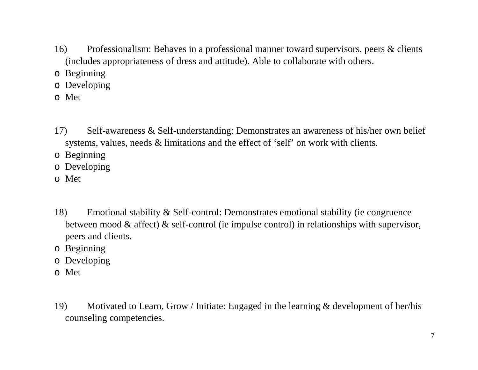- 16) Professionalism: Behaves in a professional manner toward supervisors, peers & clients (includes appropriateness of dress and attitude). Able to collaborate with others.
- o Beginning
- o Developing
- o Met
- 17) Self-awareness & Self-understanding: Demonstrates an awareness of his/her own belief systems, values, needs & limitations and the effect of 'self' on work with clients.
- o Beginning
- o Developing
- o Met
- 18) Emotional stability & Self-control: Demonstrates emotional stability (ie congruence between mood & affect) & self-control (ie impulse control) in relationships with supervisor, peers and clients.
- o Beginning
- o Developing
- o Met
- 19) Motivated to Learn, Grow / Initiate: Engaged in the learning & development of her/his counseling competencies.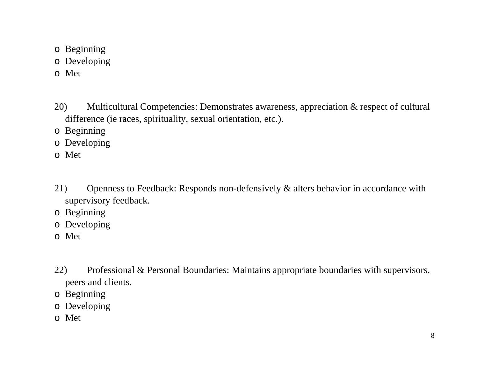- o Beginning
- o Developing
- o Met
- 20) Multicultural Competencies: Demonstrates awareness, appreciation & respect of cultural difference (ie races, spirituality, sexual orientation, etc.).
- o Beginning
- o Developing
- o Met
- 21) Openness to Feedback: Responds non-defensively & alters behavior in accordance with supervisory feedback.
- o Beginning
- o Developing
- o Met
- 22) Professional & Personal Boundaries: Maintains appropriate boundaries with supervisors, peers and clients.
- o Beginning
- o Developing
- o Met